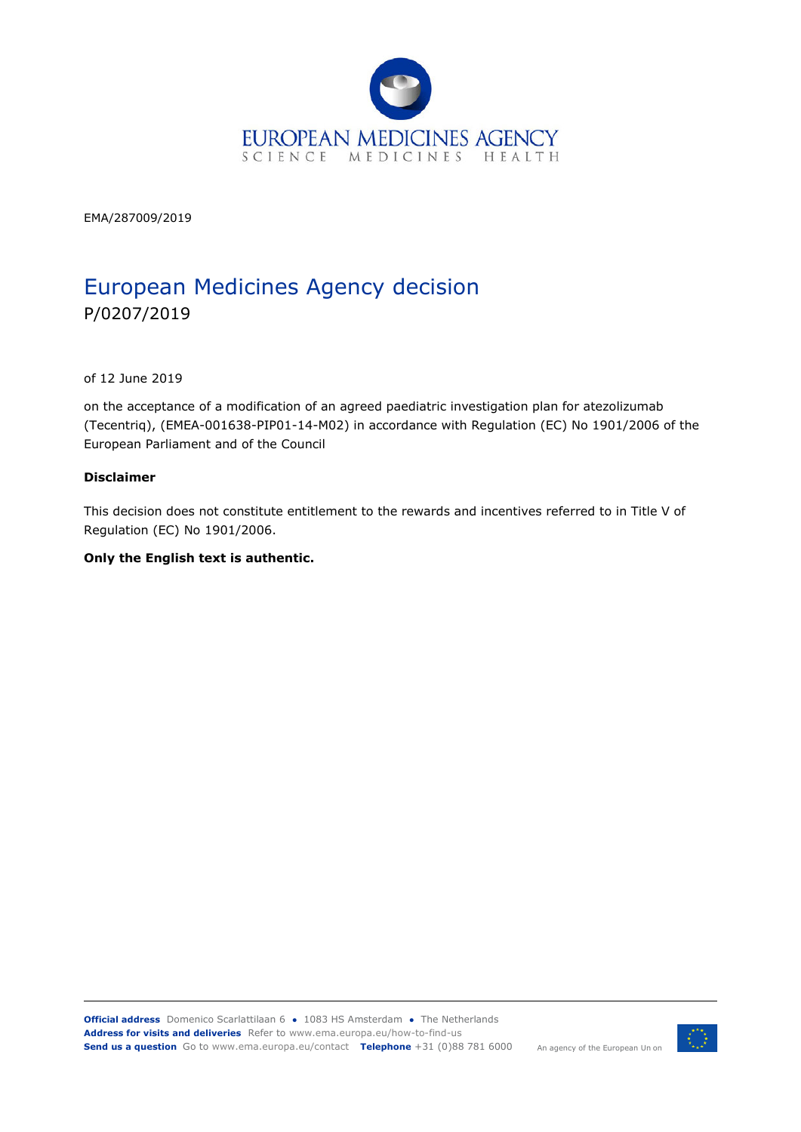

EMA/287009/2019

# European Medicines Agency decision P/0207/2019

of 12 June 2019

on the acceptance of a modification of an agreed paediatric investigation plan for atezolizumab (Tecentriq), (EMEA-001638-PIP01-14-M02) in accordance with Regulation (EC) No 1901/2006 of the European Parliament and of the Council

#### **Disclaimer**

This decision does not constitute entitlement to the rewards and incentives referred to in Title V of Regulation (EC) No 1901/2006.

#### **Only the English text is authentic.**

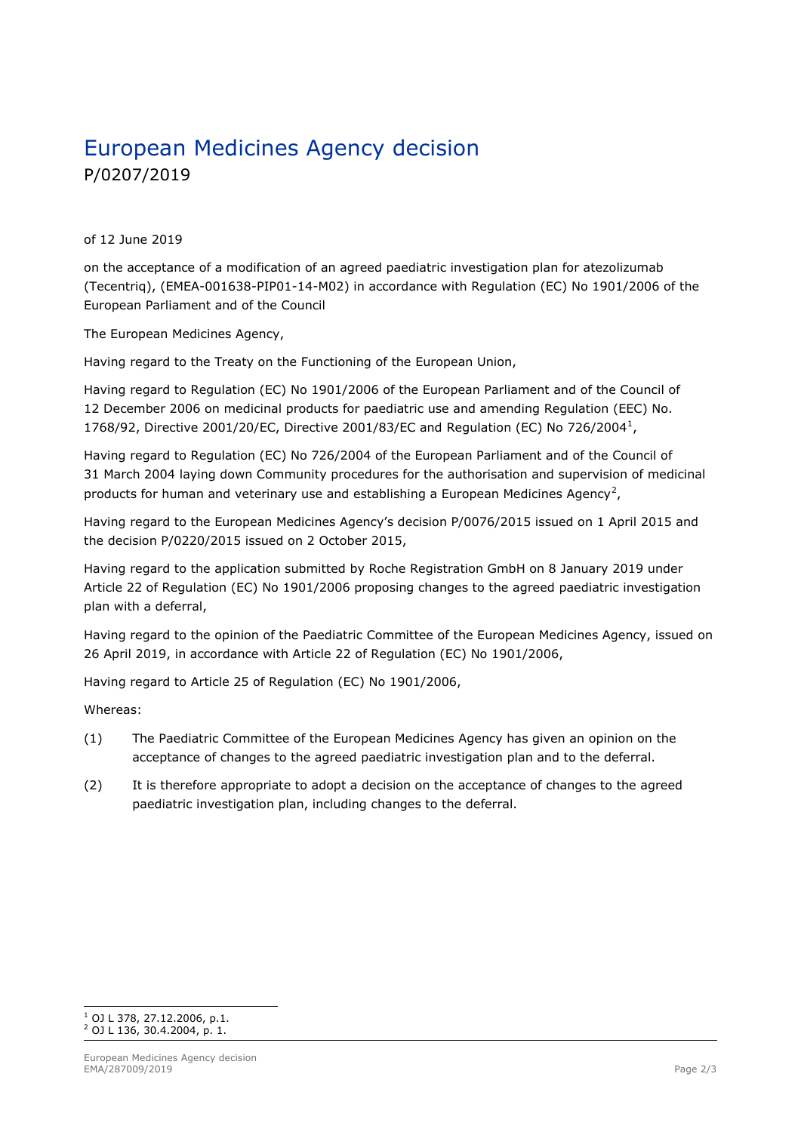# European Medicines Agency decision P/0207/2019

of 12 June 2019

on the acceptance of a modification of an agreed paediatric investigation plan for atezolizumab (Tecentriq), (EMEA-001638-PIP01-14-M02) in accordance with Regulation (EC) No 1901/2006 of the European Parliament and of the Council

The European Medicines Agency,

Having regard to the Treaty on the Functioning of the European Union,

Having regard to Regulation (EC) No 1901/2006 of the European Parliament and of the Council of 12 December 2006 on medicinal products for paediatric use and amending Regulation (EEC) No. 1768/92, Directive 2001/20/EC, Directive 2001/83/EC and Regulation (EC) No 726/2004<sup>1</sup>,

Having regard to Regulation (EC) No 726/2004 of the European Parliament and of the Council of 31 March 2004 laying down Community procedures for the authorisation and supervision of medicinal products for human and veterinary use and establishing a European Medicines Agency<sup>2</sup>,

Having regard to the European Medicines Agency's decision P/0076/2015 issued on 1 April 2015 and the decision P/0220/2015 issued on 2 October 2015,

Having regard to the application submitted by Roche Registration GmbH on 8 January 2019 under Article 22 of Regulation (EC) No 1901/2006 proposing changes to the agreed paediatric investigation plan with a deferral,

Having regard to the opinion of the Paediatric Committee of the European Medicines Agency, issued on 26 April 2019, in accordance with Article 22 of Regulation (EC) No 1901/2006,

Having regard to Article 25 of Regulation (EC) No 1901/2006,

Whereas:

- (1) The Paediatric Committee of the European Medicines Agency has given an opinion on the acceptance of changes to the agreed paediatric investigation plan and to the deferral.
- (2) It is therefore appropriate to adopt a decision on the acceptance of changes to the agreed paediatric investigation plan, including changes to the deferral.

<sup>1</sup> OJ L 378, 27.12.2006, p.1.  $^{2}$  OJ L 136, 30.4.2004, p. 1.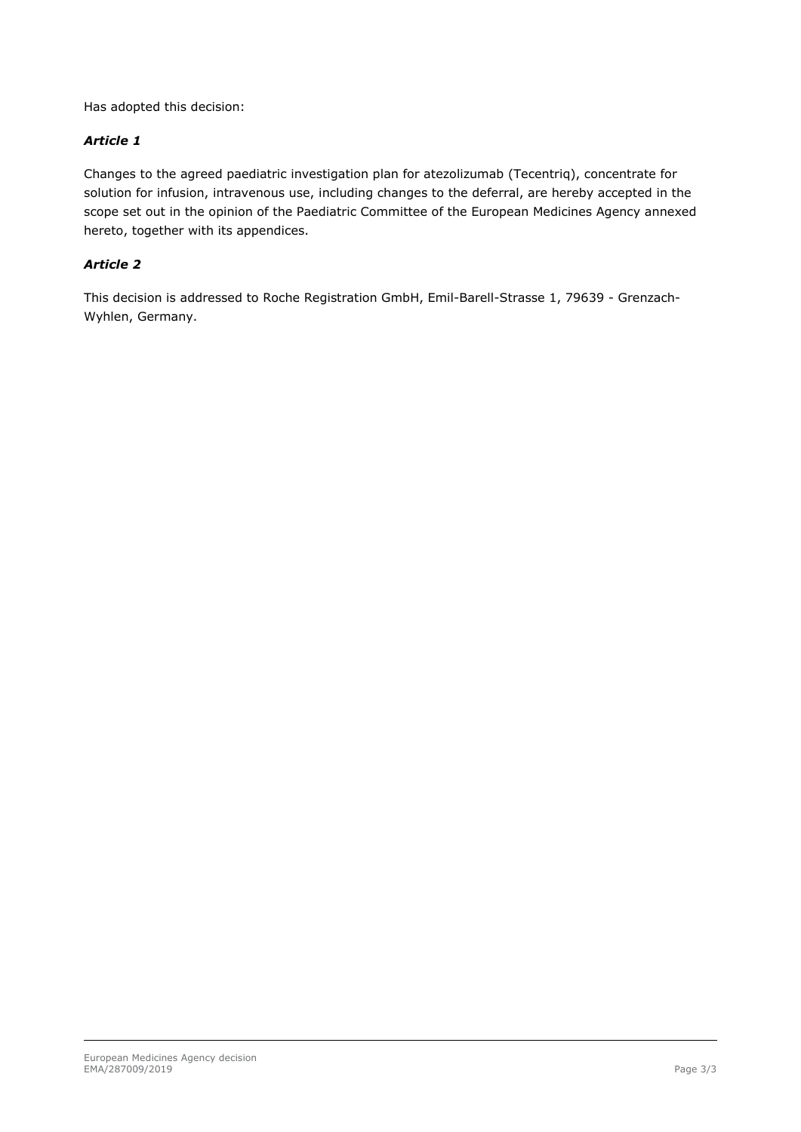Has adopted this decision:

#### *Article 1*

Changes to the agreed paediatric investigation plan for atezolizumab (Tecentriq), concentrate for solution for infusion, intravenous use, including changes to the deferral, are hereby accepted in the scope set out in the opinion of the Paediatric Committee of the European Medicines Agency annexed hereto, together with its appendices.

#### *Article 2*

This decision is addressed to Roche Registration GmbH, Emil-Barell-Strasse 1, 79639 - Grenzach-Wyhlen, Germany.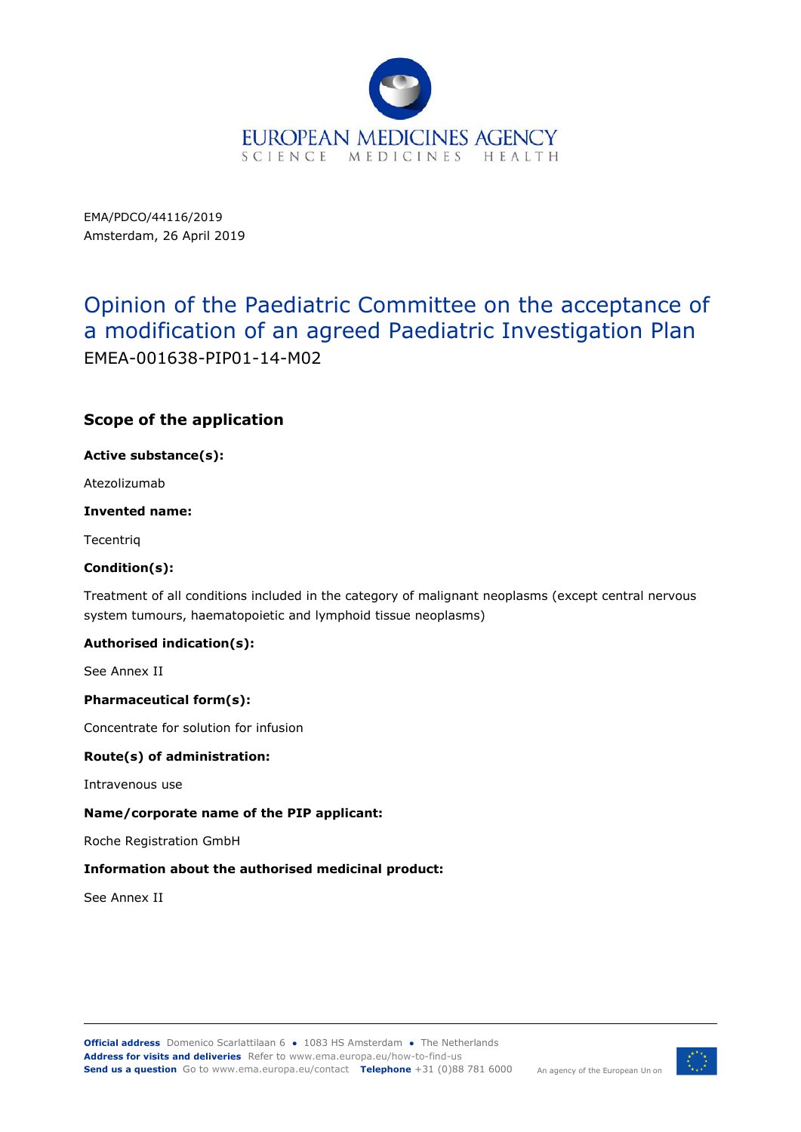

EMA/PDCO/44116/2019 Amsterdam, 26 April 2019

# Opinion of the Paediatric Committee on the acceptance of a modification of an agreed Paediatric Investigation Plan EMEA-001638-PIP01-14-M02

## **Scope of the application**

**Active substance(s):** 

Atezolizumab

#### **Invented name:**

**Tecentrig** 

#### **Condition(s):**

Treatment of all conditions included in the category of malignant neoplasms (except central nervous system tumours, haematopoietic and lymphoid tissue neoplasms)

#### **Authorised indication(s):**

See Annex II

#### **Pharmaceutical form(s):**

Concentrate for solution for infusion

#### **Route(s) of administration:**

Intravenous use

#### **Name/corporate name of the PIP applicant:**

Roche Registration GmbH

#### **Information about the authorised medicinal product:**

See Annex II

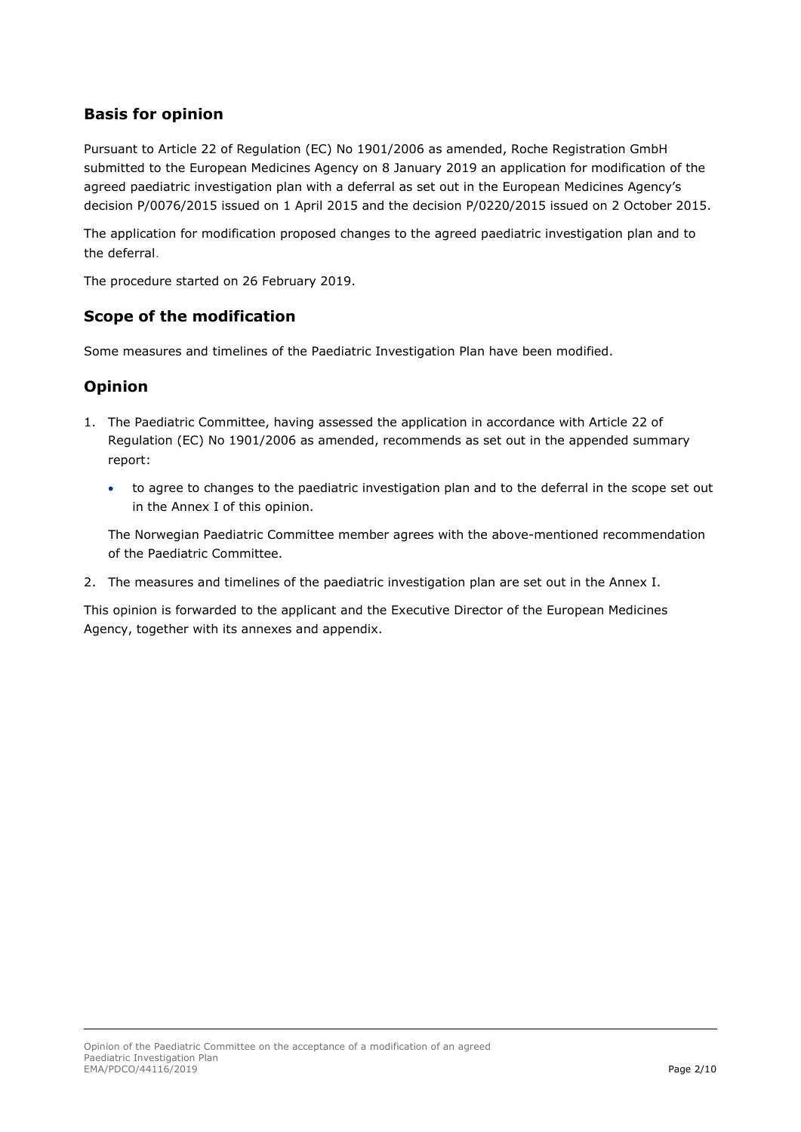## **Basis for opinion**

Pursuant to Article 22 of Regulation (EC) No 1901/2006 as amended, Roche Registration GmbH submitted to the European Medicines Agency on 8 January 2019 an application for modification of the agreed paediatric investigation plan with a deferral as set out in the European Medicines Agency's decision P/0076/2015 issued on 1 April 2015 and the decision P/0220/2015 issued on 2 October 2015.

The application for modification proposed changes to the agreed paediatric investigation plan and to the deferral.

The procedure started on 26 February 2019.

## **Scope of the modification**

Some measures and timelines of the Paediatric Investigation Plan have been modified.

### **Opinion**

- 1. The Paediatric Committee, having assessed the application in accordance with Article 22 of Regulation (EC) No 1901/2006 as amended, recommends as set out in the appended summary report:
	- to agree to changes to the paediatric investigation plan and to the deferral in the scope set out in the Annex I of this opinion.

The Norwegian Paediatric Committee member agrees with the above-mentioned recommendation of the Paediatric Committee.

2. The measures and timelines of the paediatric investigation plan are set out in the Annex I.

This opinion is forwarded to the applicant and the Executive Director of the European Medicines Agency, together with its annexes and appendix.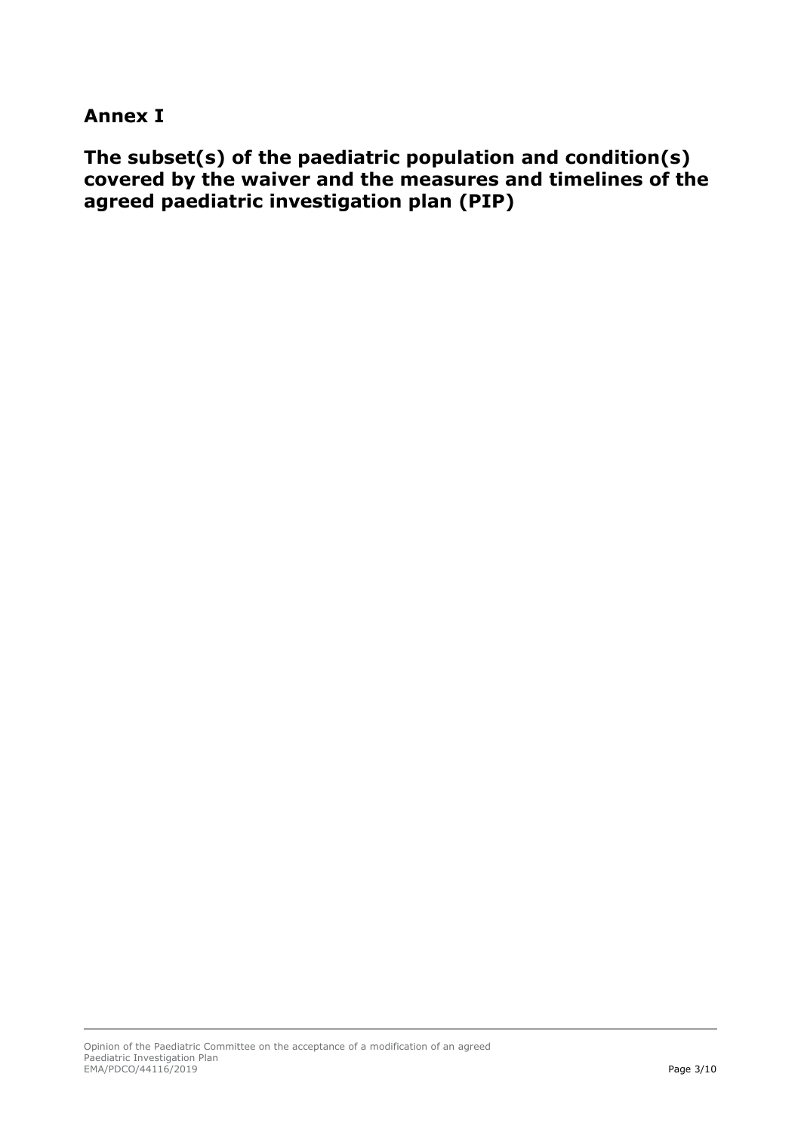## **Annex I**

**The subset(s) of the paediatric population and condition(s) covered by the waiver and the measures and timelines of the agreed paediatric investigation plan (PIP)**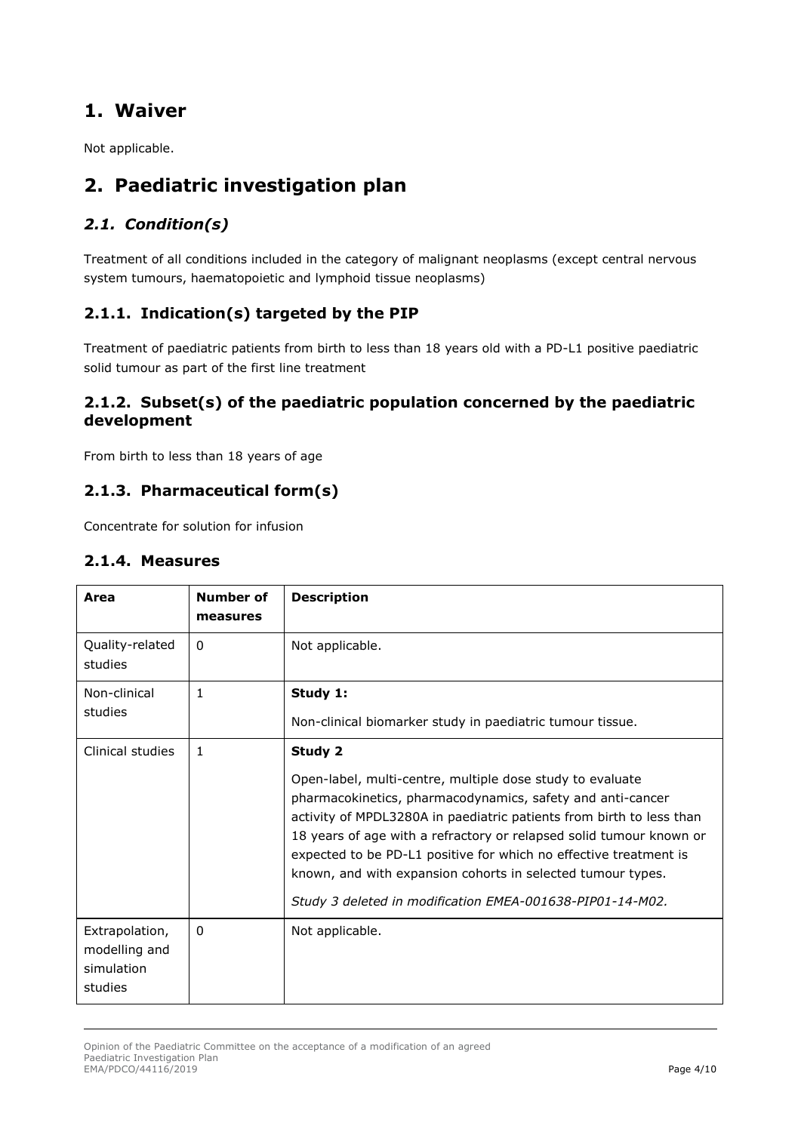## **1. Waiver**

Not applicable.

## **2. Paediatric investigation plan**

## *2.1. Condition(s)*

Treatment of all conditions included in the category of malignant neoplasms (except central nervous system tumours, haematopoietic and lymphoid tissue neoplasms)

## **2.1.1. Indication(s) targeted by the PIP**

Treatment of paediatric patients from birth to less than 18 years old with a PD-L1 positive paediatric solid tumour as part of the first line treatment

## **2.1.2. Subset(s) of the paediatric population concerned by the paediatric development**

From birth to less than 18 years of age

## **2.1.3. Pharmaceutical form(s)**

Concentrate for solution for infusion

### **2.1.4. Measures**

| Area                                                     | Number of<br>measures | <b>Description</b>                                                                                                                                                                                                                                                                                                                                                                                                                                                                 |
|----------------------------------------------------------|-----------------------|------------------------------------------------------------------------------------------------------------------------------------------------------------------------------------------------------------------------------------------------------------------------------------------------------------------------------------------------------------------------------------------------------------------------------------------------------------------------------------|
| Quality-related<br>studies                               | 0                     | Not applicable.                                                                                                                                                                                                                                                                                                                                                                                                                                                                    |
| Non-clinical<br>studies                                  | 1                     | Study 1:<br>Non-clinical biomarker study in paediatric tumour tissue.                                                                                                                                                                                                                                                                                                                                                                                                              |
| Clinical studies                                         | $\mathbf{1}$          | Study 2<br>Open-label, multi-centre, multiple dose study to evaluate<br>pharmacokinetics, pharmacodynamics, safety and anti-cancer<br>activity of MPDL3280A in paediatric patients from birth to less than<br>18 years of age with a refractory or relapsed solid tumour known or<br>expected to be PD-L1 positive for which no effective treatment is<br>known, and with expansion cohorts in selected tumour types.<br>Study 3 deleted in modification EMEA-001638-PIP01-14-M02. |
| Extrapolation,<br>modelling and<br>simulation<br>studies | 0                     | Not applicable.                                                                                                                                                                                                                                                                                                                                                                                                                                                                    |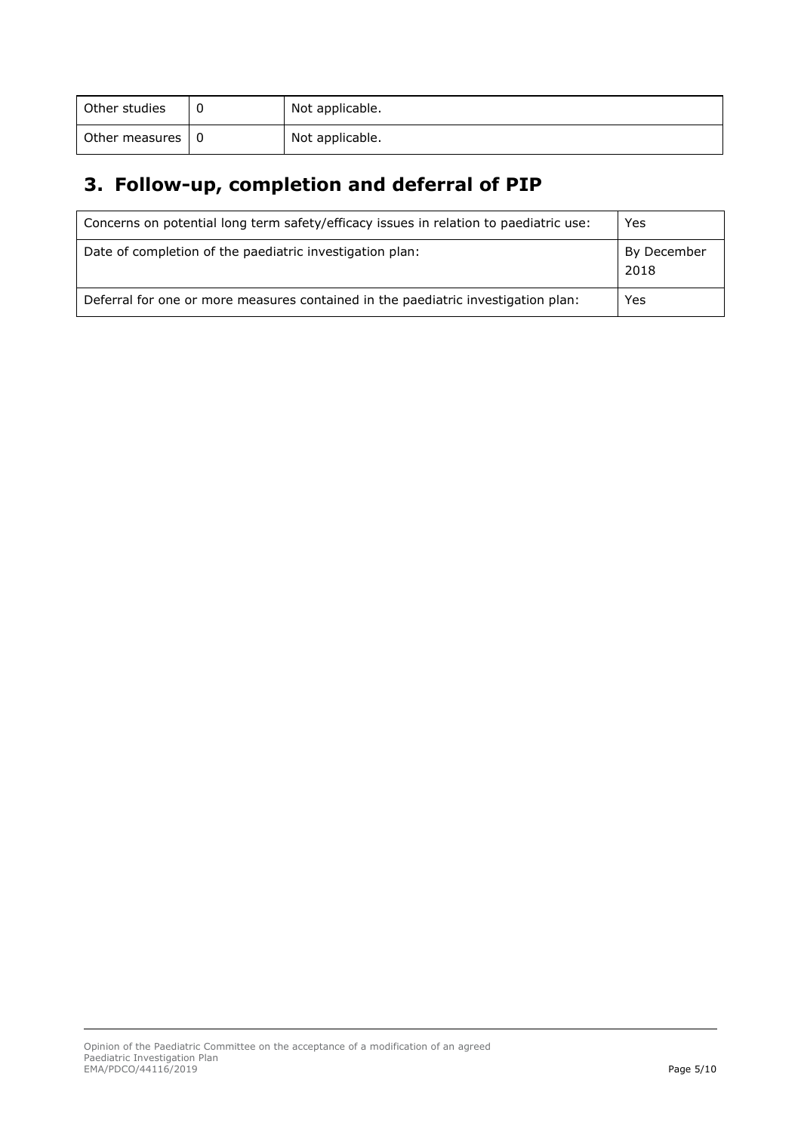| Other studies      | 0 | Not applicable. |
|--------------------|---|-----------------|
| Other measures   0 |   | Not applicable. |

# **3. Follow-up, completion and deferral of PIP**

| Concerns on potential long term safety/efficacy issues in relation to paediatric use: | Yes                 |
|---------------------------------------------------------------------------------------|---------------------|
| Date of completion of the paediatric investigation plan:                              | By December<br>2018 |
| Deferral for one or more measures contained in the paediatric investigation plan:     | Yes                 |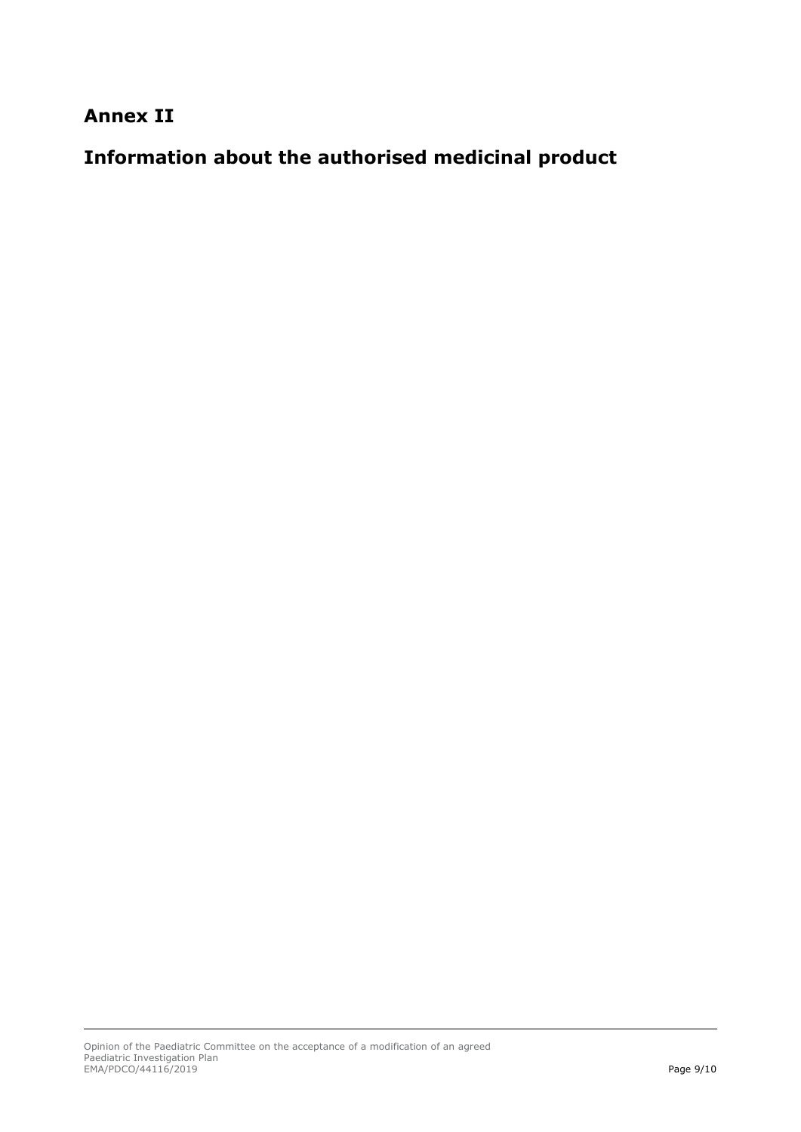**Annex II**

**Information about the authorised medicinal product**